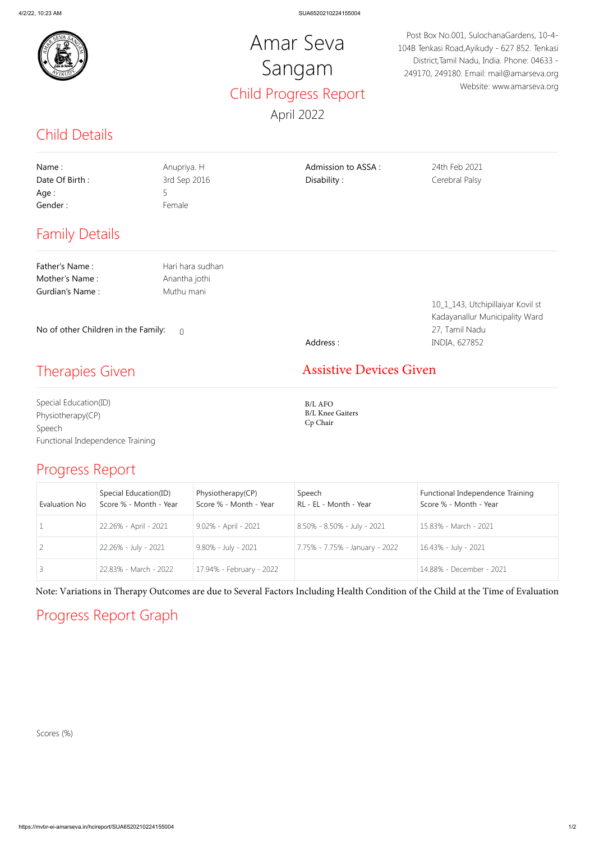

#### Child Details

#### Progress Report

### Progress Report Graph

## Amar Seva Sangam Child Progress Report April 2022

Post Box No.001, SulochanaGardens, 10-4- 104B Tenkasi Road,Ayikudy - 627 852. Tenkasi District,Tamil Nadu, India. Phone: 04633 - 249170, 249180. Email: mail@amarseva.org Website: www.amarseva.org

| Name:<br>Date Of Birth:<br>Age:<br>Gender:      | Anupriya. H<br>3rd Sep 2016<br>5<br>Female | Admission to ASSA:<br>Disability:    | 24th Feb 2021<br>Cerebral Palsy                                     |  |  |  |
|-------------------------------------------------|--------------------------------------------|--------------------------------------|---------------------------------------------------------------------|--|--|--|
| <b>Family Details</b>                           |                                            |                                      |                                                                     |  |  |  |
| Father's Name:                                  | Hari hara sudhan                           |                                      |                                                                     |  |  |  |
| Mother's Name:<br>Gurdian's Name:               | Anantha jothi<br>Muthu mani                |                                      |                                                                     |  |  |  |
|                                                 |                                            |                                      | 10_1_143, Utchipillaiyar Kovil st<br>Kadayanallur Municipality Ward |  |  |  |
| No of other Children in the Family:<br>$\Omega$ |                                            |                                      | 27, Tamil Nadu                                                      |  |  |  |
|                                                 |                                            | Address:                             | INDIA, 627852                                                       |  |  |  |
| <b>Therapies Given</b>                          |                                            | <b>Assistive Devices Given</b>       |                                                                     |  |  |  |
| Special Education(ID)<br>Physiotherapy(CP)      |                                            | $B/L$ AFO<br><b>B/L Knee Gaiters</b> |                                                                     |  |  |  |

Speech Functional Independence Training

| <b>Evaluation No</b> | Special Education(ID)<br>Score % - Month - Year | Physiotherapy(CP)<br>Score % - Month - Year | Speech<br>RL - EL - Month - Year | Functional Independence Training<br>Score % - Month - Year |
|----------------------|-------------------------------------------------|---------------------------------------------|----------------------------------|------------------------------------------------------------|
|                      | 22.26% - April - 2021                           | 9.02% - April - 2021                        | 8.50% - 8.50% - July - 2021      | 15.83% - March - 2021                                      |
|                      | 22.26% - July - 2021                            | 9.80% - July - 2021                         | 7.75% - 7.75% - January - 2022   | 16.43% - July - 2021                                       |
|                      | 22.83% - March - 2022                           | 17.94% - February - 2022                    |                                  | 14.88% - December - 2021                                   |

Scores (%)

Note: Variations in Therapy Outcomes are due to Several Factors Including Health Condition of the Child at the Time of Evaluation

# Cp Chair